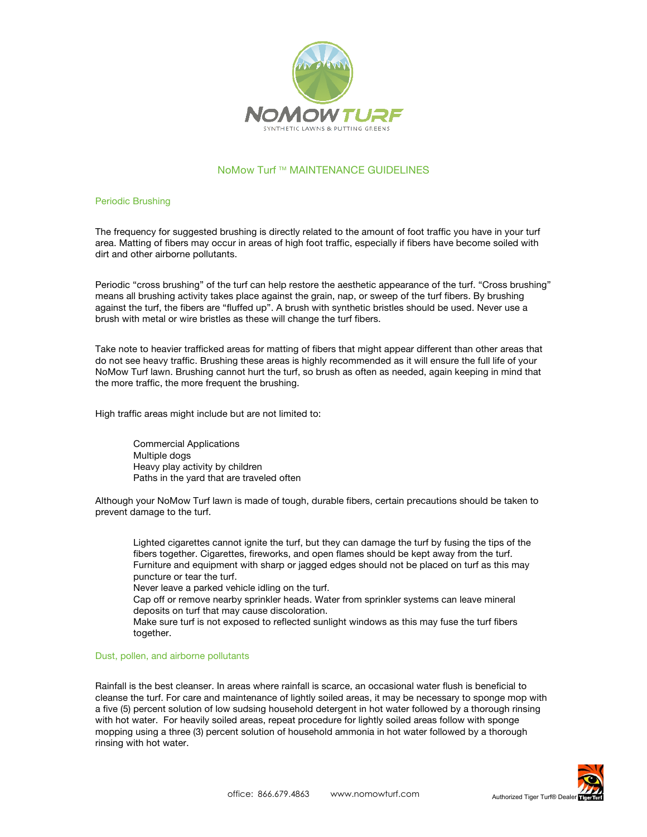

# NoMow Turf ™ MAINTENANCE GUIDELINES

## Periodic Brushing

The frequency for suggested brushing is directly related to the amount of foot traffic you have in your turf area. Matting of fibers may occur in areas of high foot traffic, especially if fibers have become soiled with dirt and other airborne pollutants.

Periodic "cross brushing" of the turf can help restore the aesthetic appearance of the turf. "Cross brushing" means all brushing activity takes place against the grain, nap, or sweep of the turf fibers. By brushing against the turf, the fibers are "fluffed up". A brush with synthetic bristles should be used. Never use a brush with metal or wire bristles as these will change the turf fibers.

Take note to heavier trafficked areas for matting of fibers that might appear different than other areas that do not see heavy traffic. Brushing these areas is highly recommended as it will ensure the full life of your NoMow Turf lawn. Brushing cannot hurt the turf, so brush as often as needed, again keeping in mind that the more traffic, the more frequent the brushing.

High traffic areas might include but are not limited to:

Commercial Applications Multiple dogs Heavy play activity by children Paths in the yard that are traveled often

Although your NoMow Turf lawn is made of tough, durable fibers, certain precautions should be taken to prevent damage to the turf.

 Lighted cigarettes cannot ignite the turf, but they can damage the turf by fusing the tips of the fibers together. Cigarettes, fireworks, and open flames should be kept away from the turf. Furniture and equipment with sharp or jagged edges should not be placed on turf as this may puncture or tear the turf.

Never leave a parked vehicle idling on the turf.

 Cap off or remove nearby sprinkler heads. Water from sprinkler systems can leave mineral deposits on turf that may cause discoloration.

 Make sure turf is not exposed to reflected sunlight windows as this may fuse the turf fibers together.

## Dust, pollen, and airborne pollutants

Rainfall is the best cleanser. In areas where rainfall is scarce, an occasional water flush is beneficial to cleanse the turf. For care and maintenance of lightly soiled areas, it may be necessary to sponge mop with a five (5) percent solution of low sudsing household detergent in hot water followed by a thorough rinsing with hot water. For heavily soiled areas, repeat procedure for lightly soiled areas follow with sponge mopping using a three (3) percent solution of household ammonia in hot water followed by a thorough rinsing with hot water.